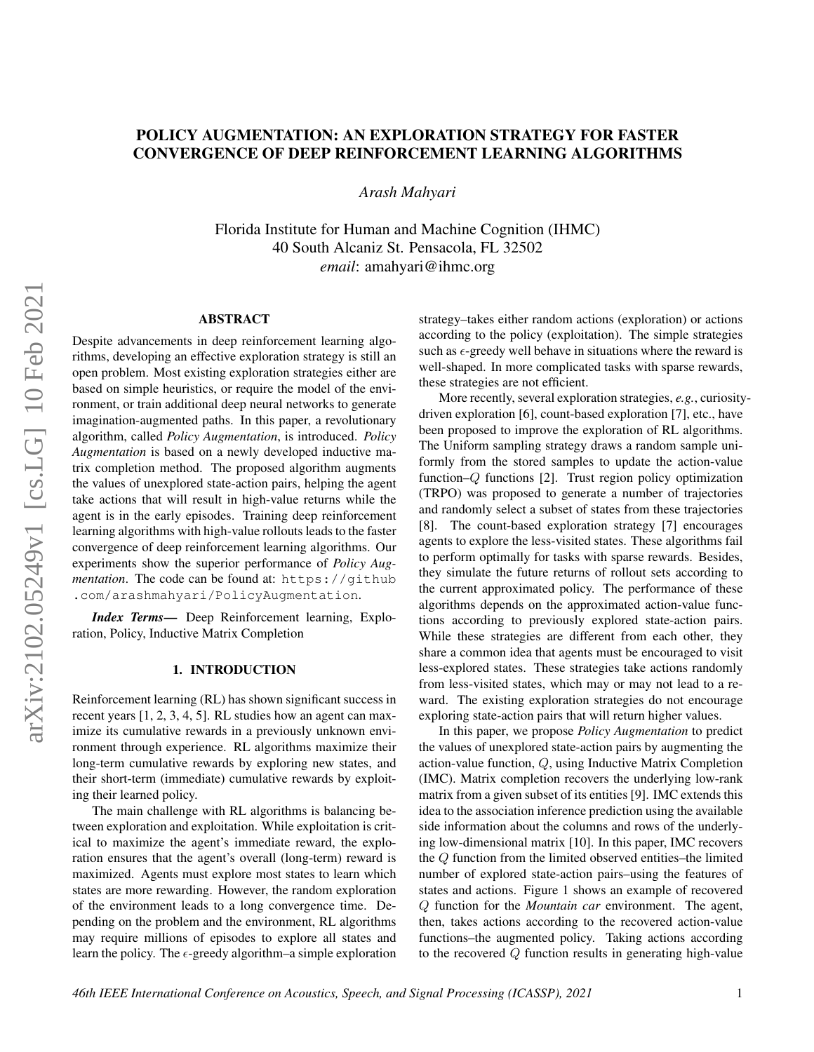# POLICY AUGMENTATION: AN EXPLORATION STRATEGY FOR FASTER CONVERGENCE OF DEEP REINFORCEMENT LEARNING ALGORITHMS

*Arash Mahyari*

Florida Institute for Human and Machine Cognition (IHMC) 40 South Alcaniz St. Pensacola, FL 32502 *email*: amahyari@ihmc.org

#### ABSTRACT

Despite advancements in deep reinforcement learning algorithms, developing an effective exploration strategy is still an open problem. Most existing exploration strategies either are based on simple heuristics, or require the model of the environment, or train additional deep neural networks to generate imagination-augmented paths. In this paper, a revolutionary algorithm, called *Policy Augmentation*, is introduced. *Policy Augmentation* is based on a newly developed inductive matrix completion method. The proposed algorithm augments the values of unexplored state-action pairs, helping the agent take actions that will result in high-value returns while the agent is in the early episodes. Training deep reinforcement learning algorithms with high-value rollouts leads to the faster convergence of deep reinforcement learning algorithms. Our experiments show the superior performance of *Policy Augmentation*. The code can be found at: [https://github](https://github.com/arashmahyari/PolicyAugmentation) [.com/arashmahyari/PolicyAugmentation](https://github.com/arashmahyari/PolicyAugmentation).

*Index Terms*— Deep Reinforcement learning, Exploration, Policy, Inductive Matrix Completion

#### 1. INTRODUCTION

Reinforcement learning (RL) has shown significant success in recent years [\[1,](#page-4-0) [2,](#page-4-1) [3,](#page-4-2) [4,](#page-4-3) [5\]](#page-4-4). RL studies how an agent can maximize its cumulative rewards in a previously unknown environment through experience. RL algorithms maximize their long-term cumulative rewards by exploring new states, and their short-term (immediate) cumulative rewards by exploiting their learned policy.

The main challenge with RL algorithms is balancing between exploration and exploitation. While exploitation is critical to maximize the agent's immediate reward, the exploration ensures that the agent's overall (long-term) reward is maximized. Agents must explore most states to learn which states are more rewarding. However, the random exploration of the environment leads to a long convergence time. Depending on the problem and the environment, RL algorithms may require millions of episodes to explore all states and learn the policy. The  $\epsilon$ -greedy algorithm–a simple exploration strategy–takes either random actions (exploration) or actions according to the policy (exploitation). The simple strategies such as  $\epsilon$ -greedy well behave in situations where the reward is well-shaped. In more complicated tasks with sparse rewards, these strategies are not efficient.

More recently, several exploration strategies, *e.g.*, curiositydriven exploration [\[6\]](#page-4-5), count-based exploration [\[7\]](#page-4-6), etc., have been proposed to improve the exploration of RL algorithms. The Uniform sampling strategy draws a random sample uniformly from the stored samples to update the action-value function–Q functions [\[2\]](#page-4-1). Trust region policy optimization (TRPO) was proposed to generate a number of trajectories and randomly select a subset of states from these trajectories [\[8\]](#page-4-7). The count-based exploration strategy [\[7\]](#page-4-6) encourages agents to explore the less-visited states. These algorithms fail to perform optimally for tasks with sparse rewards. Besides, they simulate the future returns of rollout sets according to the current approximated policy. The performance of these algorithms depends on the approximated action-value functions according to previously explored state-action pairs. While these strategies are different from each other, they share a common idea that agents must be encouraged to visit less-explored states. These strategies take actions randomly from less-visited states, which may or may not lead to a reward. The existing exploration strategies do not encourage exploring state-action pairs that will return higher values.

In this paper, we propose *Policy Augmentation* to predict the values of unexplored state-action pairs by augmenting the action-value function, Q, using Inductive Matrix Completion (IMC). Matrix completion recovers the underlying low-rank matrix from a given subset of its entities [\[9\]](#page-4-8). IMC extends this idea to the association inference prediction using the available side information about the columns and rows of the underlying low-dimensional matrix [\[10\]](#page-4-9). In this paper, IMC recovers the Q function from the limited observed entities–the limited number of explored state-action pairs–using the features of states and actions. Figure [1](#page-1-0) shows an example of recovered Q function for the *Mountain car* environment. The agent, then, takes actions according to the recovered action-value functions–the augmented policy. Taking actions according to the recovered Q function results in generating high-value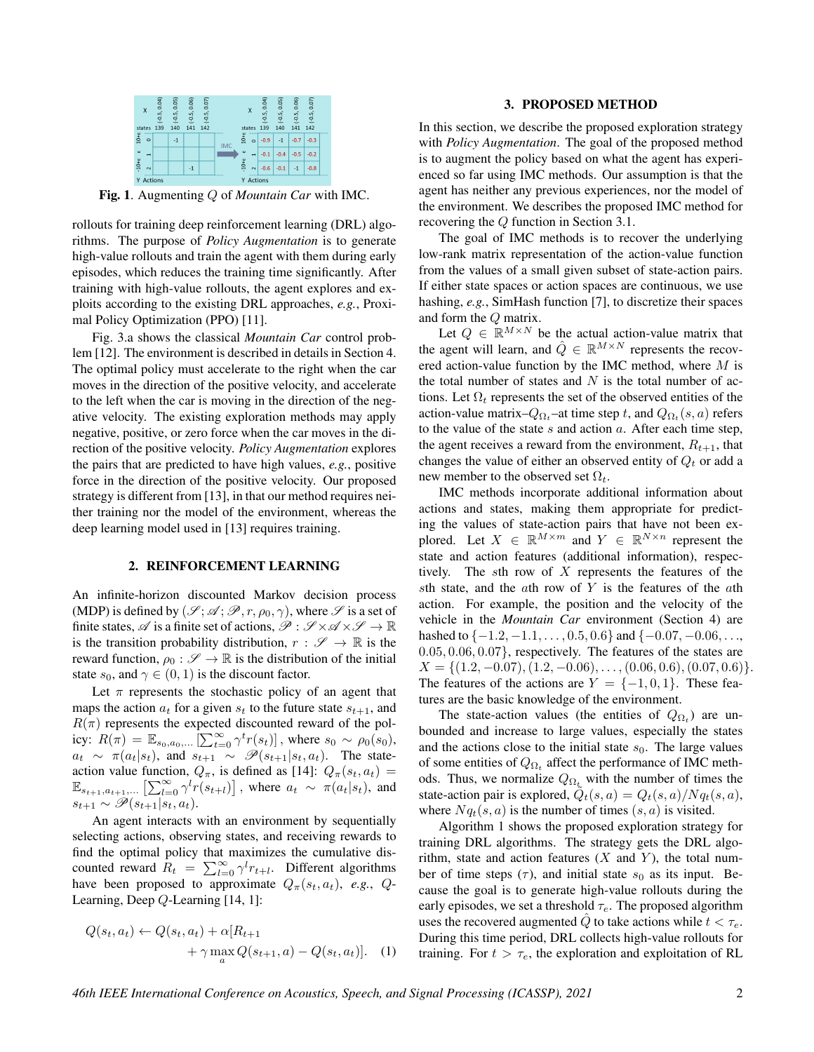

<span id="page-1-0"></span>Fig. 1. Augmenting Q of *Mountain Car* with IMC.

rollouts for training deep reinforcement learning (DRL) algorithms. The purpose of *Policy Augmentation* is to generate high-value rollouts and train the agent with them during early episodes, which reduces the training time significantly. After training with high-value rollouts, the agent explores and exploits according to the existing DRL approaches, *e.g.*, Proximal Policy Optimization (PPO) [\[11\]](#page-4-10).

Fig. [3.](#page-3-0)a shows the classical *Mountain Car* control problem [\[12\]](#page-4-11). The environment is described in details in Section [4.](#page-2-0) The optimal policy must accelerate to the right when the car moves in the direction of the positive velocity, and accelerate to the left when the car is moving in the direction of the negative velocity. The existing exploration methods may apply negative, positive, or zero force when the car moves in the direction of the positive velocity. *Policy Augmentation* explores the pairs that are predicted to have high values, *e.g.*, positive force in the direction of the positive velocity. Our proposed strategy is different from [\[13\]](#page-4-12), in that our method requires neither training nor the model of the environment, whereas the deep learning model used in [\[13\]](#page-4-12) requires training.

#### 2. REINFORCEMENT LEARNING

An infinite-horizon discounted Markov decision process (MDP) is defined by  $(\mathcal{S}; \mathcal{A}; \mathcal{P}, r, \rho_0, \gamma)$ , where  $\mathcal{S}$  is a set of finite states,  $\mathscr A$  is a finite set of actions,  $\mathscr P : \mathscr S \times \mathscr A \times \mathscr S \to \mathbb R$ is the transition probability distribution,  $r : \mathscr{S} \to \mathbb{R}$  is the reward function,  $\rho_0 : \mathscr{S} \to \mathbb{R}$  is the distribution of the initial state  $s_0$ , and  $\gamma \in (0, 1)$  is the discount factor.

Let  $\pi$  represents the stochastic policy of an agent that maps the action  $a_t$  for a given  $s_t$  to the future state  $s_{t+1}$ , and  $R(\pi)$  represents the expected discounted reward of the policy:  $R(\pi) = \mathbb{E}_{s_0, a_0, \dots} \left[ \sum_{t=0}^{\infty} \gamma^t r(s_t) \right]$ , where  $s_0 \sim \rho_0(s_0)$ ,  $a_t \sim \pi(a_t|s_t)$ , and  $s_{t+1} \sim \mathcal{P}(s_{t+1}|s_t, a_t)$ . The stateaction value function,  $Q_{\pi}$ , is defined as [\[14\]](#page-4-13):  $Q_{\pi}(s_t, a_t)$  =  $\mathbb{E}_{s_{t+1},a_{t+1},\dots} \left[ \sum_{l=0}^{\infty} \gamma^l r(s_{t+l}) \right]$ , where  $a_t \sim \pi(a_t|s_t)$ , and  $s_{t+1} \sim \mathscr{P}(s_{t+1}|s_t, a_t).$ 

An agent interacts with an environment by sequentially selecting actions, observing states, and receiving rewards to find the optimal policy that maximizes the cumulative discounted reward  $R_t = \sum_{l=0}^{\infty} \gamma^l r_{t+l}$ . Different algorithms have been proposed to approximate  $Q_{\pi}(s_t, a_t)$ , *e.g.*, *Q*-Learning, Deep Q-Learning [\[14,](#page-4-13) [1\]](#page-4-0):

$$
Q(s_t, a_t) \leftarrow Q(s_t, a_t) + \alpha [R_{t+1} + \gamma \max_a Q(s_{t+1}, a) - Q(s_t, a_t)]. \quad (1)
$$

#### 3. PROPOSED METHOD

In this section, we describe the proposed exploration strategy with *Policy Augmentation*. The goal of the proposed method is to augment the policy based on what the agent has experienced so far using IMC methods. Our assumption is that the agent has neither any previous experiences, nor the model of the environment. We describes the proposed IMC method for recovering the Q function in Section [3.1.](#page-2-1)

The goal of IMC methods is to recover the underlying low-rank matrix representation of the action-value function from the values of a small given subset of state-action pairs. If either state spaces or action spaces are continuous, we use hashing, *e.g.*, SimHash function [\[7\]](#page-4-6), to discretize their spaces and form the Q matrix.

Let  $Q \in \mathbb{R}^{M \times N}$  be the actual action-value matrix that the agent will learn, and  $\hat{Q} \in \mathbb{R}^{M \times N}$  represents the recovered action-value function by the IMC method, where  $M$  is the total number of states and  $N$  is the total number of actions. Let  $\Omega_t$  represents the set of the observed entities of the action-value matrix– $Q_{\Omega_t}$ –at time step t, and  $Q_{\Omega_t}(s,a)$  refers to the value of the state  $s$  and action  $a$ . After each time step, the agent receives a reward from the environment,  $R_{t+1}$ , that changes the value of either an observed entity of  $Q_t$  or add a new member to the observed set  $\Omega_t$ .

IMC methods incorporate additional information about actions and states, making them appropriate for predicting the values of state-action pairs that have not been explored. Let  $X \in \mathbb{R}^{M \times m}$  and  $Y \in \mathbb{R}^{N \times n}$  represent the state and action features (additional information), respectively. The sth row of  $X$  represents the features of the sth state, and the  $a$ th row of Y is the features of the  $a$ th action. For example, the position and the velocity of the vehicle in the *Mountain Car* environment (Section [4\)](#page-2-0) are hashed to  $\{-1.2, -1.1, \ldots, 0.5, 0.6\}$  and  $\{-0.07, -0.06, \ldots,$ 0.05, 0.06, 0.07}, respectively. The features of the states are  $X = \{(1.2, -0.07), (1.2, -0.06), \ldots, (0.06, 0.6), (0.07, 0.6)\}.$ The features of the actions are  $Y = \{-1, 0, 1\}$ . These features are the basic knowledge of the environment.

The state-action values (the entities of  $Q_{\Omega_t}$ ) are unbounded and increase to large values, especially the states and the actions close to the initial state  $s_0$ . The large values of some entities of  $Q_{\Omega_t}$  affect the performance of IMC methods. Thus, we normalize  $Q_{\Omega_t}$  with the number of times the state-action pair is explored,  $\tilde{Q}_t(s, a) = Q_t(s, a) / N q_t(s, a)$ , where  $Nq_t(s, a)$  is the number of times  $(s, a)$  is visited.

<span id="page-1-1"></span>Algorithm [1](#page-2-2) shows the proposed exploration strategy for training DRL algorithms. The strategy gets the DRL algorithm, state and action features  $(X \text{ and } Y)$ , the total number of time steps  $(\tau)$ , and initial state  $s_0$  as its input. Because the goal is to generate high-value rollouts during the early episodes, we set a threshold  $\tau_e$ . The proposed algorithm uses the recovered augmented  $\tilde{Q}$  to take actions while  $t < \tau_e$ . During this time period, DRL collects high-value rollouts for training. For  $t > \tau_e$ , the exploration and exploitation of RL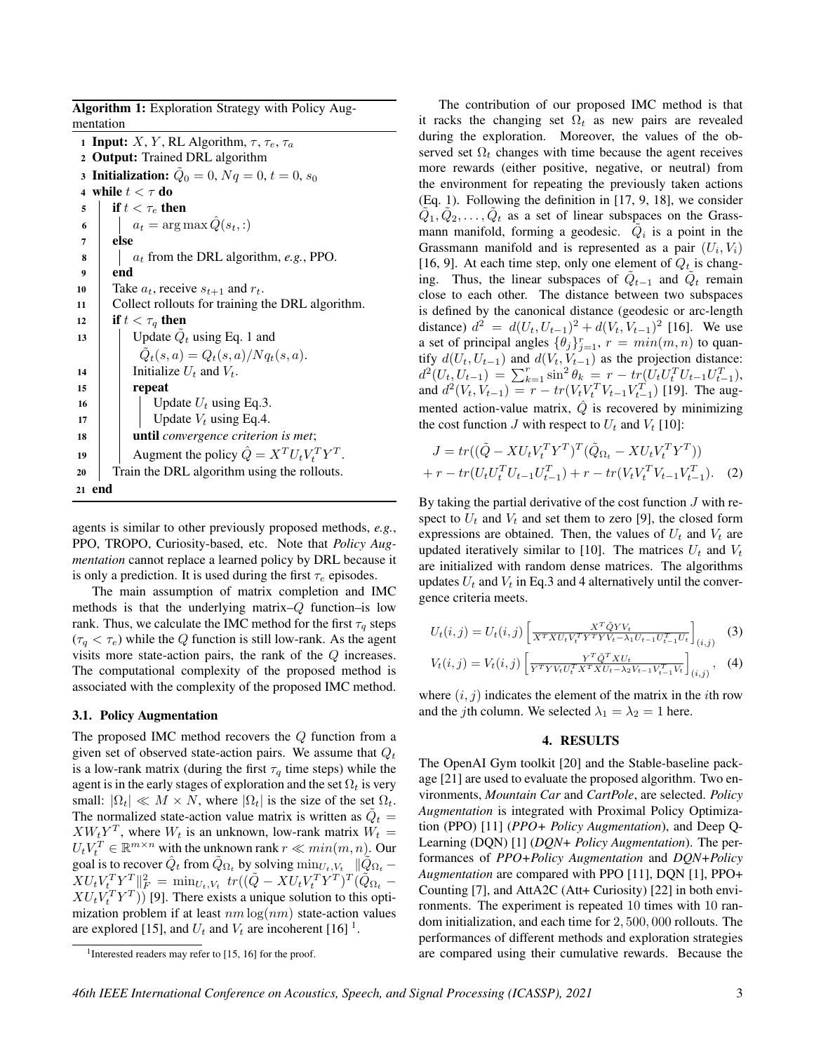Algorithm 1: Exploration Strategy with Policy Augmentation

1 Input: X, Y, RL Algorithm,  $\tau$ ,  $\tau_e$ ,  $\tau_a$ <sup>2</sup> Output: Trained DRL algorithm 3 Initialization:  $\tilde{Q}_0=0$ ,  $Nq=0$ ,  $t=0$ ,  $s_0$ 4 while  $t < \tau$  do 5 if  $t < \tau_e$  then 6  $\int a_t = \arg \max \hat{Q}(s_t, :)$ 7 else  $\mathbf{8}$  |  $a_t$  from the DRL algorithm, *e.g.*, PPO. 9 end 10 Take  $a_t$ , receive  $s_{t+1}$  and  $r_t$ . 11 Collect rollouts for training the DRL algorithm. 12 **if**  $t < \tau_q$  then 13 | Update  $\tilde{Q}_t$  using Eq. [1](#page-1-1) and  $\tilde{Q}_t(s, a) = Q_t(s, a) / Nq_t(s, a).$ 14 | Initialize  $U_t$  and  $V_t$ .  $15$  repeat 16 | Update  $U_t$  using Eq[.3.](#page-2-3) 17 | | Update  $V_t$  using Eq[.4.](#page-2-4) <sup>18</sup> until *convergence criterion is met*; 19  $\begin{array}{|c|c|c|} \hline \end{array}$  Augment the policy  $\hat{Q} = X^T U_t V_t^T Y^T$ . 20 Train the DRL algorithm using the rollouts. 21 end

agents is similar to other previously proposed methods, *e.g.*, PPO, TROPO, Curiosity-based, etc. Note that *Policy Augmentation* cannot replace a learned policy by DRL because it is only a prediction. It is used during the first  $\tau_e$  episodes.

The main assumption of matrix completion and IMC methods is that the underlying matrix–Q function–is low rank. Thus, we calculate the IMC method for the first  $\tau_q$  steps  $(\tau_q < \tau_e)$  while the Q function is still low-rank. As the agent visits more state-action pairs, the rank of the Q increases. The computational complexity of the proposed method is associated with the complexity of the proposed IMC method.

## <span id="page-2-2"></span><span id="page-2-1"></span>3.1. Policy Augmentation

The proposed IMC method recovers the Q function from a given set of observed state-action pairs. We assume that  $Q_t$ is a low-rank matrix (during the first  $\tau_q$  time steps) while the agent is in the early stages of exploration and the set  $\Omega_t$  is very small:  $|\Omega_t| \ll M \times N$ , where  $|\Omega_t|$  is the size of the set  $\Omega_t$ . The normalized state-action value matrix is written as  $\tilde{Q}_t$  =  $XW_tY^T$ , where  $W_t$  is an unknown, low-rank matrix  $W_t =$  $U_t V_t^T \in \mathbb{R}^{m \times n}$  with the unknown rank  $r \ll min(m, n)$ . Our goal is to recover  $\hat{Q}_t$  from  $\tilde{Q}_{\Omega_t}$  by solving  $\min_{U_t, V_t} \ \|\tilde{Q}_{\Omega_t} XU_t V_t^T Y^T \|_F^2 = \min_{U_t, V_t} tr((\tilde{Q} - XU_t V_t^T Y^T)^T (\tilde{Q}_{\Omega_t} XU_tV_t^TY^T$ ) [\[9\]](#page-4-8). There exists a unique solution to this optimization problem if at least  $nm \log(nm)$  state-action values are explored [\[15\]](#page-4-14), and  $U_t$  and  $V_t$  are incoherent [\[16\]](#page-4-15)<sup>[1](#page-2-5)</sup>.

The contribution of our proposed IMC method is that it racks the changing set  $\Omega_t$  as new pairs are revealed during the exploration. Moreover, the values of the observed set  $\Omega_t$  changes with time because the agent receives more rewards (either positive, negative, or neutral) from the environment for repeating the previously taken actions (Eq. [1\)](#page-1-1). Following the definition in [\[17,](#page-4-16) [9,](#page-4-8) [18\]](#page-4-17), we consider  $\tilde{Q}_1, \tilde{Q}_2, \ldots, \tilde{Q}_t$  as a set of linear subspaces on the Grassmann manifold, forming a geodesic.  $\tilde{Q}_i$  is a point in the Grassmann manifold and is represented as a pair  $(U_i, V_i)$ [\[16,](#page-4-15) [9\]](#page-4-8). At each time step, only one element of  $Q_t$  is changing. Thus, the linear subspaces of  $\tilde{Q}_{t-1}$  and  $\tilde{Q}_t$  remain close to each other. The distance between two subspaces is defined by the canonical distance (geodesic or arc-length distance)  $d^2 = d(U_t, U_{t-1})^2 + d(V_t, V_{t-1})^2$  [\[16\]](#page-4-15). We use a set of principal angles  $\{\theta_j\}_{j=1}^r$ ,  $r = min(m, n)$  to quantify  $d(U_t, U_{t-1})$  and  $d(V_t, V_{t-1})$  as the projection distance:  $d^2(U_t, U_{t-1}) = \sum_{k=1}^r \sin^2 \theta_k = r - tr(U_t U_t^T U_{t-1} U_{t-1}^T),$ and  $d^2(V_t, V_{t-1}) = r - tr(V_t V_t^T V_{t-1} V_{t-1}^T)$  [\[19\]](#page-4-18). The augmented action-value matrix,  $\hat{Q}$  is recovered by minimizing the cost function J with respect to  $U_t$  and  $V_t$  [\[10\]](#page-4-9):

$$
J = tr((\tilde{Q} - XU_tV_t^T Y^T)^T(\tilde{Q}_{\Omega_t} - XU_tV_t^T Y^T))
$$
  
+ 
$$
r - tr(U_tU_t^TU_{t-1}U_{t-1}^T) + r - tr(V_tV_t^TV_{t-1}V_{t-1}^T).
$$
 (2)

By taking the partial derivative of the cost function  $J$  with respect to  $U_t$  and  $V_t$  and set them to zero [\[9\]](#page-4-8), the closed form expressions are obtained. Then, the values of  $U_t$  and  $V_t$  are updated iteratively similar to [\[10\]](#page-4-9). The matrices  $U_t$  and  $V_t$ are initialized with random dense matrices. The algorithms updates  $U_t$  and  $V_t$  in Eq[.3](#page-2-3) and [4](#page-2-4) alternatively until the convergence criteria meets.

$$
U_t(i,j) = U_t(i,j) \left[ \frac{X^T \tilde{Q} Y V_t}{X^T X U_t V_t^T Y^T Y V_t - \lambda_1 U_{t-1} U_{t-1}^T U_t} \right]_{(i,j)} \quad (3)
$$

$$
V_t(i,j) = V_t(i,j) \left[ \frac{Y^T \tilde{Q}^T X U_t}{Y^T Y V_t U_t^T X^T X U_t - \lambda_2 V_{t-1} V_{t-1}^T V_t} \right]_{(i,j)}, \quad (4)
$$

where  $(i, j)$  indicates the element of the matrix in the *i*th row and the *j*th column. We selected  $\lambda_1 = \lambda_2 = 1$  here.

## <span id="page-2-4"></span><span id="page-2-3"></span>4. RESULTS

<span id="page-2-0"></span>The OpenAI Gym toolkit [\[20\]](#page-4-19) and the Stable-baseline package [\[21\]](#page-4-20) are used to evaluate the proposed algorithm. Two environments, *Mountain Car* and *CartPole*, are selected. *Policy Augmentation* is integrated with Proximal Policy Optimization (PPO) [\[11\]](#page-4-10) (*PPO+ Policy Augmentation*), and Deep Q-Learning (DQN) [\[1\]](#page-4-0) (*DQN+ Policy Augmentation*). The performances of *PPO+Policy Augmentation* and *DQN+Policy Augmentation* are compared with PPO [\[11\]](#page-4-10), DQN [\[1\]](#page-4-0), PPO+ Counting [\[7\]](#page-4-6), and AttA2C (Att+ Curiosity) [\[22\]](#page-4-21) in both environments. The experiment is repeated 10 times with 10 random initialization, and each time for 2, 500, 000 rollouts. The performances of different methods and exploration strategies are compared using their cumulative rewards. Because the

<span id="page-2-5"></span><sup>&</sup>lt;sup>1</sup>Interested readers may refer to [\[15,](#page-4-14) [16\]](#page-4-15) for the proof.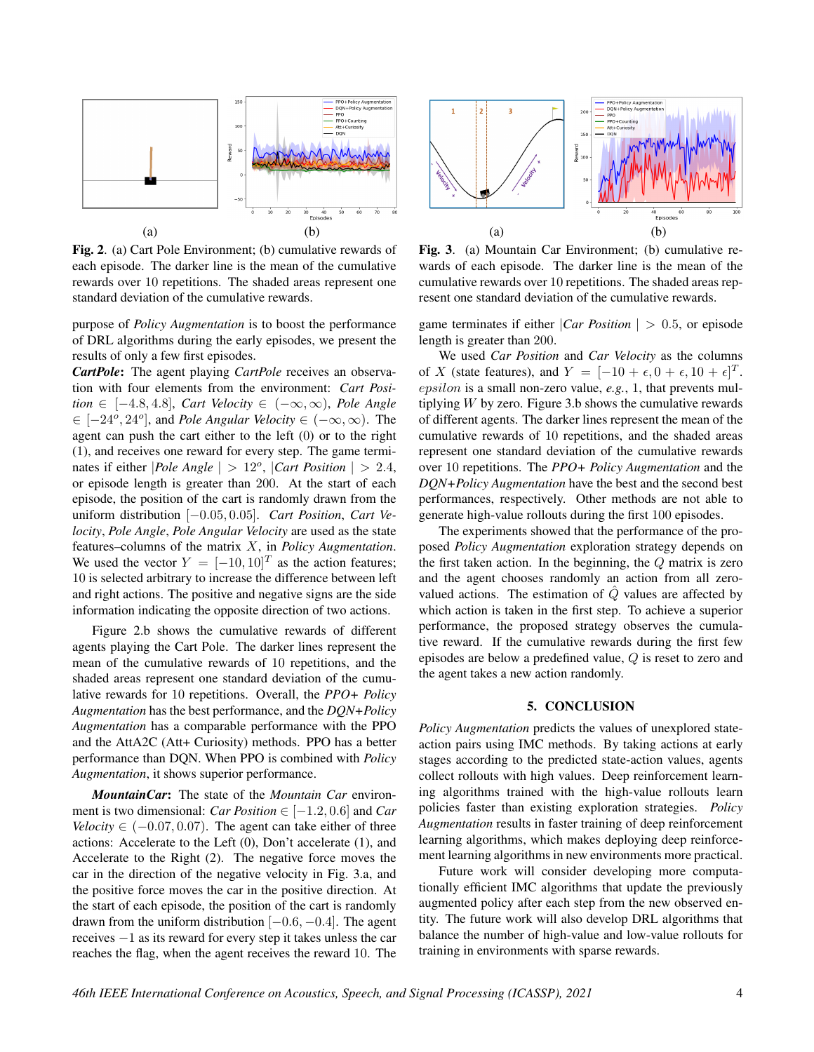

<span id="page-3-1"></span>Fig. 2. (a) Cart Pole Environment; (b) cumulative rewards of each episode. The darker line is the mean of the cumulative rewards over 10 repetitions. The shaded areas represent one standard deviation of the cumulative rewards.

purpose of *Policy Augmentation* is to boost the performance of DRL algorithms during the early episodes, we present the results of only a few first episodes.

*CartPole*: The agent playing *CartPole* receives an observation with four elements from the environment: *Cart Position* ∈ [−4.8, 4.8], *Cart Velocity* ∈ (−∞, ∞), *Pole Angle*  $\in [-24^{\circ}, 24^{\circ}]$ , and *Pole Angular Velocity* ∈  $(-\infty, \infty)$ . The agent can push the cart either to the left (0) or to the right (1), and receives one reward for every step. The game terminates if either  $|Pole Angle| > 12^{\circ}$ ,  $|Cart Position| > 2.4$ , or episode length is greater than 200. At the start of each episode, the position of the cart is randomly drawn from the uniform distribution [−0.05, 0.05]. *Cart Position*, *Cart Velocity*, *Pole Angle*, *Pole Angular Velocity* are used as the state features–columns of the matrix X, in *Policy Augmentation*. We used the vector  $Y = [-10, 10]^T$  as the action features; 10 is selected arbitrary to increase the difference between left and right actions. The positive and negative signs are the side information indicating the opposite direction of two actions.

Figure [2.](#page-3-1)b shows the cumulative rewards of different agents playing the Cart Pole. The darker lines represent the mean of the cumulative rewards of 10 repetitions, and the shaded areas represent one standard deviation of the cumulative rewards for 10 repetitions. Overall, the *PPO+ Policy Augmentation* has the best performance, and the *DQN+Policy Augmentation* has a comparable performance with the PPO and the AttA2C (Att+ Curiosity) methods. PPO has a better performance than DQN. When PPO is combined with *Policy Augmentation*, it shows superior performance.

*MountainCar*: The state of the *Mountain Car* environment is two dimensional: *Car Position* ∈ [−1.2, 0.6] and *Car Velocity*  $\in (-0.07, 0.07)$ . The agent can take either of three actions: Accelerate to the Left (0), Don't accelerate (1), and Accelerate to the Right (2). The negative force moves the car in the direction of the negative velocity in Fig. [3.](#page-3-0)a, and the positive force moves the car in the positive direction. At the start of each episode, the position of the cart is randomly drawn from the uniform distribution  $[-0.6, -0.4]$ . The agent receives −1 as its reward for every step it takes unless the car reaches the flag, when the agent receives the reward 10. The



<span id="page-3-0"></span>Fig. 3. (a) Mountain Car Environment; (b) cumulative rewards of each episode. The darker line is the mean of the cumulative rewards over 10 repetitions. The shaded areas represent one standard deviation of the cumulative rewards.

game terminates if either  $|Car \, Position| > 0.5$ , or episode length is greater than 200.

We used *Car Position* and *Car Velocity* as the columns of X (state features), and  $Y = [-10 + \epsilon, 0 + \epsilon, 10 + \epsilon]^T$ . epsilon is a small non-zero value, *e.g.*, 1, that prevents multiplying  $W$  by zero. Figure [3.](#page-3-0)b shows the cumulative rewards of different agents. The darker lines represent the mean of the cumulative rewards of 10 repetitions, and the shaded areas represent one standard deviation of the cumulative rewards over 10 repetitions. The *PPO+ Policy Augmentation* and the *DQN+Policy Augmentation* have the best and the second best performances, respectively. Other methods are not able to generate high-value rollouts during the first 100 episodes.

The experiments showed that the performance of the proposed *Policy Augmentation* exploration strategy depends on the first taken action. In the beginning, the  $Q$  matrix is zero and the agent chooses randomly an action from all zerovalued actions. The estimation of  $\hat{Q}$  values are affected by which action is taken in the first step. To achieve a superior performance, the proposed strategy observes the cumulative reward. If the cumulative rewards during the first few episodes are below a predefined value, Q is reset to zero and the agent takes a new action randomly.

### 5. CONCLUSION

*Policy Augmentation* predicts the values of unexplored stateaction pairs using IMC methods. By taking actions at early stages according to the predicted state-action values, agents collect rollouts with high values. Deep reinforcement learning algorithms trained with the high-value rollouts learn policies faster than existing exploration strategies. *Policy Augmentation* results in faster training of deep reinforcement learning algorithms, which makes deploying deep reinforcement learning algorithms in new environments more practical.

Future work will consider developing more computationally efficient IMC algorithms that update the previously augmented policy after each step from the new observed entity. The future work will also develop DRL algorithms that balance the number of high-value and low-value rollouts for training in environments with sparse rewards.